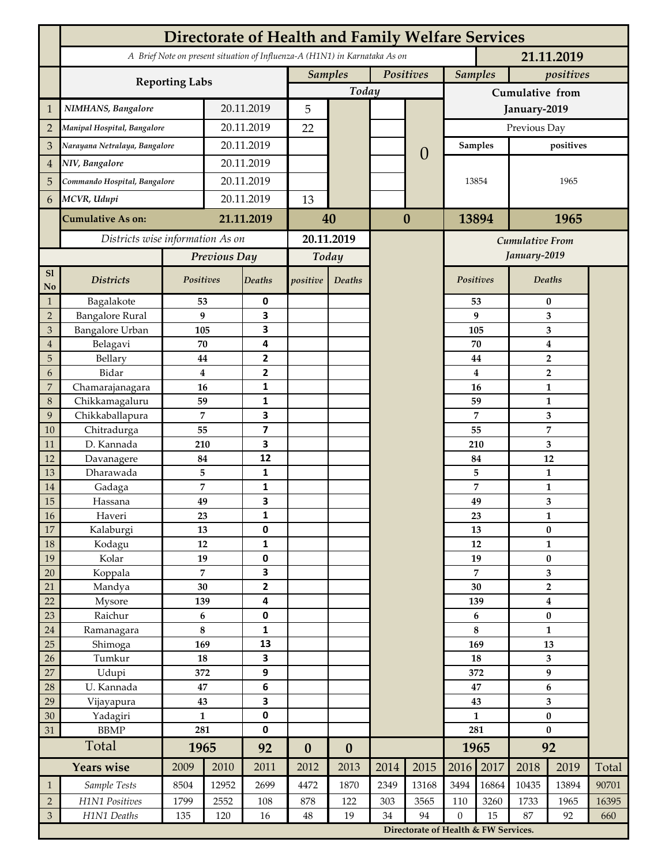|                | <b>Directorate of Health and Family Welfare Services</b>                                 |                    |            |                         |                  |                  |           |              |              |                                                                                   |                                  |              |       |  |
|----------------|------------------------------------------------------------------------------------------|--------------------|------------|-------------------------|------------------|------------------|-----------|--------------|--------------|-----------------------------------------------------------------------------------|----------------------------------|--------------|-------|--|
|                | A Brief Note on present situation of Influenza-A (H1N1) in Karnataka As on<br>21.11.2019 |                    |            |                         |                  |                  |           |              |              |                                                                                   |                                  |              |       |  |
|                | <b>Reporting Labs</b>                                                                    |                    |            |                         | <b>Samples</b>   |                  | Positives |              |              | <b>Samples</b>                                                                    |                                  | positives    |       |  |
|                |                                                                                          |                    |            |                         |                  | Today            |           |              |              | Cumulative from                                                                   |                                  |              |       |  |
| $\mathbf{1}$   | NIMHANS, Bangalore                                                                       | 20.11.2019         |            | 5                       |                  | $\Omega$         |           | January-2019 |              |                                                                                   |                                  |              |       |  |
| $\overline{2}$ | Manipal Hospital, Bangalore                                                              |                    |            | 20.11.2019              |                  |                  |           |              | Previous Day |                                                                                   |                                  |              |       |  |
| 3              | Narayana Netralaya, Bangalore                                                            |                    |            | 20.11.2019              |                  |                  |           |              |              | Samples                                                                           |                                  |              |       |  |
| $\overline{4}$ | NIV, Bangalore                                                                           |                    | 20.11.2019 |                         |                  |                  |           |              |              |                                                                                   |                                  |              |       |  |
| 5              | Commando Hospital, Bangalore                                                             |                    | 20.11.2019 |                         |                  |                  |           |              |              | 13854                                                                             |                                  | 1965         |       |  |
| 6              | MCVR, Udupi                                                                              |                    | 20.11.2019 |                         | 13               |                  |           |              |              |                                                                                   |                                  |              |       |  |
|                |                                                                                          |                    | 21.11.2019 |                         | 40               |                  | $\bf{0}$  |              | 13894        |                                                                                   | 1965                             |              |       |  |
|                | <b>Cumulative As on:</b>                                                                 |                    |            |                         |                  |                  |           |              |              |                                                                                   |                                  |              |       |  |
|                | Districts wise information As on                                                         |                    |            | 20.11.2019              |                  |                  |           |              |              | <b>Cumulative From</b><br>January-2019                                            |                                  |              |       |  |
|                |                                                                                          | Previous Day       |            | Today                   |                  |                  |           |              |              |                                                                                   |                                  |              |       |  |
| S1<br>No       | <b>Districts</b>                                                                         | Positives          |            | Deaths                  | positive         | Deaths           |           |              | Positives    |                                                                                   |                                  | Deaths       |       |  |
| $\mathbf{1}$   | Bagalakote                                                                               | 53                 |            | 0                       |                  |                  |           |              |              | 53                                                                                | $\bf{0}$                         |              |       |  |
| $\overline{2}$ | <b>Bangalore Rural</b>                                                                   | 9                  |            | 3                       |                  |                  |           |              |              | 9                                                                                 | 3                                |              |       |  |
| 3              | Bangalore Urban                                                                          | 105                |            | 3                       |                  |                  |           |              | 105          |                                                                                   | 3                                |              |       |  |
| $\overline{4}$ | Belagavi                                                                                 | 70                 |            | 4<br>2                  |                  |                  |           |              |              | 70                                                                                | $\boldsymbol{4}$                 |              |       |  |
| 5<br>6         | Bellary<br>Bidar                                                                         | 44<br>$\bf{4}$     |            | $\mathbf{2}$            |                  |                  |           |              |              | 44<br>4                                                                           | $\overline{2}$<br>$\overline{2}$ |              |       |  |
| 7              | Chamarajanagara                                                                          | 16                 |            | 1                       |                  |                  |           |              |              | 16                                                                                | 1                                |              |       |  |
| 8              | Chikkamagaluru                                                                           | 59                 |            | 1                       |                  |                  |           |              |              | 59                                                                                |                                  | 1            |       |  |
| 9              | Chikkaballapura                                                                          | 7                  |            | 3                       |                  |                  |           |              |              | 7                                                                                 |                                  | 3            |       |  |
| 10             | Chitradurga                                                                              | 55                 |            | $\overline{\mathbf{z}}$ |                  |                  |           |              |              | 55                                                                                |                                  | 7            |       |  |
| 11             | D. Kannada                                                                               | 210                |            | 3                       |                  |                  |           |              |              | 210                                                                               |                                  | 3            |       |  |
| 12             | Davanagere                                                                               | 84                 |            | 12                      |                  |                  |           |              |              | 84                                                                                |                                  | 12           |       |  |
| 13             | Dharawada                                                                                | 5                  |            | $\mathbf{1}$            |                  |                  |           |              |              | 5                                                                                 |                                  | $\mathbf{1}$ |       |  |
| 14<br>15       | Gadaga                                                                                   | 7<br>49            |            | 1<br>3                  |                  |                  |           |              |              | 7                                                                                 |                                  | 1            |       |  |
| <b>16</b>      | Hassana<br>Haveri                                                                        | 23                 |            | 1                       |                  |                  |           |              | 49<br>23     |                                                                                   | 3<br>1                           |              |       |  |
| 17             | Kalaburgi                                                                                | 13                 |            | 0                       |                  |                  |           |              |              | 13                                                                                | $\pmb{0}$                        |              |       |  |
| 18             | Kodagu                                                                                   | 12                 |            | $\mathbf{1}$            |                  |                  |           |              |              | 12                                                                                | $\mathbf{1}$                     |              |       |  |
| 19             | Kolar                                                                                    | 19                 |            | 0                       |                  |                  |           |              |              | 19                                                                                |                                  | $\pmb{0}$    |       |  |
| 20             | Koppala                                                                                  | $\overline{7}$     |            | 3                       |                  |                  |           |              |              | 7                                                                                 | 3                                |              |       |  |
| 21             | Mandya                                                                                   | $30\,$             |            | $\mathbf{2}$            |                  |                  |           |              | 30           |                                                                                   | $\mathbf 2$                      |              |       |  |
| 22             | Mysore                                                                                   | 139                |            | 4                       |                  |                  |           |              |              | 139                                                                               | $\boldsymbol{4}$                 |              |       |  |
| 23<br>$24\,$   | Raichur<br>Ramanagara                                                                    | $\bf 6$<br>$\bf 8$ |            | $\pmb{0}$<br>1          |                  |                  |           |              |              | 6                                                                                 | $\pmb{0}$<br>$\mathbf{1}$        |              |       |  |
| 25             | Shimoga                                                                                  | 169                |            | 13                      |                  |                  |           |              | 8<br>169     |                                                                                   | 13                               |              |       |  |
| 26             | Tumkur                                                                                   | ${\bf 18}$         |            | 3                       |                  |                  |           |              | 18           |                                                                                   | 3                                |              |       |  |
| 27             | Udupi                                                                                    | 372                |            | 9                       |                  |                  |           |              | 372          |                                                                                   | 9                                |              |       |  |
| 28             | U. Kannada                                                                               | $\bf 47$           |            | $\bf 6$                 |                  |                  |           |              | 47           |                                                                                   | $\bf 6$                          |              |       |  |
| 29             | Vijayapura                                                                               | 43                 |            | 3                       |                  |                  |           |              |              | 43                                                                                |                                  | 3            |       |  |
| 30             | Yadagiri                                                                                 | $\mathbf{1}$       |            | 0                       |                  |                  |           |              | $\mathbf{1}$ |                                                                                   | $\pmb{0}$                        |              |       |  |
| 31             | <b>BBMP</b>                                                                              | 281                |            | 0                       |                  |                  |           |              | 281          |                                                                                   | $\bf{0}$                         |              |       |  |
|                | Total                                                                                    | 1965               |            | 92                      | $\boldsymbol{0}$ | $\boldsymbol{0}$ |           |              |              | 1965                                                                              | 92                               |              |       |  |
|                | <b>Years wise</b>                                                                        | 2009               | 2010       | 2011                    | 2012             | 2013             | 2014      | 2015         | 2016         | 2017                                                                              | 2018                             | 2019         | Total |  |
| $\mathbf{1}$   | Sample Tests                                                                             | 8504               | 12952      | 2699                    | 4472             | 1870             | 2349      | 13168        | 3494         | 16864                                                                             | 10435                            | 13894        | 90701 |  |
| $\overline{2}$ | H1N1 Positives                                                                           | 1799               | 2552       | 108                     | 878              | 122              | 303       | 3565         | 110          | 3260                                                                              | 1733                             | 1965         | 16395 |  |
| $\mathfrak{Z}$ | H1N1 Deaths                                                                              | 135<br>120<br>16   |            |                         | $48\,$           | 19               | 34        | 94           |              | $\boldsymbol{0}$<br>15<br>87<br>92<br>660<br>Directorate of Health & FW Services. |                                  |              |       |  |
|                |                                                                                          |                    |            |                         |                  |                  |           |              |              |                                                                                   |                                  |              |       |  |